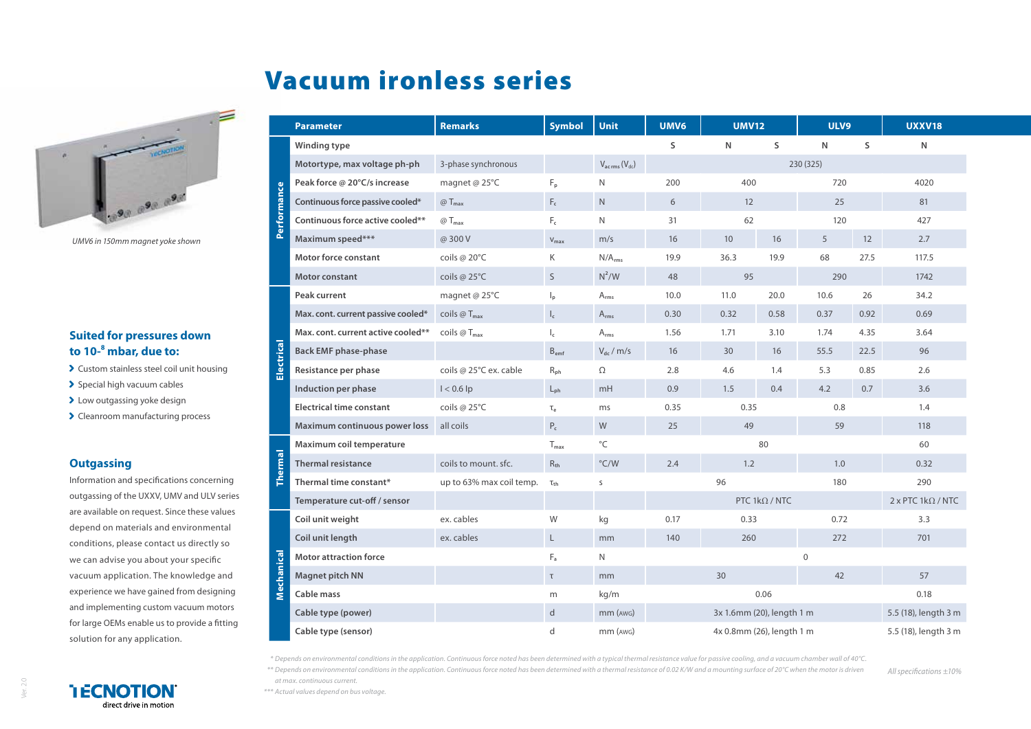# Vacuum ironless series



*UMV6 in 150mm magnet yoke shown*

### **Suited for pressures down to 10-8 mbar, due to:**

- Custom stainless steel coil unit housing
- $\blacktriangleright$  Special high vacuum cables
- > Low outgassing yoke design
- > Cleanroom manufacturing process

#### **Outgassing**

Information and specifications concerning outgassing of the UXXV, UMV and ULV series are available on request. Since these values depend on materials and environmental conditions, please contact us directly so we can advise you about your specific vacuum application. The knowledge and experience we have gained from designing and implementing custom vacuum motors for large OEMs enable us to provide a fitting solution for any application.

|                | <b>Parameter</b>                   | <b>Remarks</b>                | <b>Symbol</b>             | <b>Unit</b>                      | UMV6                      | <b>UMV12</b>              |                       | ULV9           |                      | <b>UXXV18</b>                    |
|----------------|------------------------------------|-------------------------------|---------------------------|----------------------------------|---------------------------|---------------------------|-----------------------|----------------|----------------------|----------------------------------|
| Performance    | Winding type                       |                               |                           |                                  | S                         | N                         | S                     | N              | S                    | N                                |
|                | Motortype, max voltage ph-ph       | 3-phase synchronous           |                           | $V_{ac\,rms}\left(V_{dc}\right)$ |                           | 230 (325)                 |                       |                |                      |                                  |
|                | Peak force @ 20°C/s increase       | magnet @ 25°C                 | F <sub>p</sub>            | N                                | 200                       | 400<br>720                |                       |                |                      | 4020                             |
|                | Continuous force passive cooled*   | @T <sub>max</sub>             | $F_c$                     | N                                | 6                         | 12                        |                       | 25             |                      | 81                               |
|                | Continuous force active cooled**   | @T <sub>max</sub>             | $F_c$                     | $\mathsf{N}$                     | 31                        | 62                        |                       | 120            |                      | 427                              |
|                | Maximum speed***                   | @ 300 V                       | $V_{\text{max}}$          | m/s                              | 16                        | 10                        | 16                    | 5              | 12                   | 2.7                              |
|                | <b>Motor force constant</b>        | coils @ 20°C                  | K                         | N/A <sub>rms</sub>               | 19.9                      | 36.3                      | 19.9                  | 68             | 27.5                 | 117.5                            |
|                | <b>Motor constant</b>              | coils @ $25^{\circ}$ C        | S                         | $N^2/W$                          | 48                        | 95                        |                       | 290            |                      | 1742                             |
| Electrical     | Peak current                       | magnet @ 25°C                 | $\mathsf{I}_{\mathsf{D}}$ | $A_{rms}$                        | 10.0                      | 11.0                      | 20.0                  | 10.6           | 26                   | 34.2                             |
|                | Max. cont. current passive cooled* | coils $@Tmax$                 | $\mathsf{I}_\mathsf{c}$   | $A_{rms}$                        | 0.30                      | 0.32                      | 0.58                  | 0.37           | 0.92                 | 0.69                             |
|                | Max. cont. current active cooled** | coils $\omega T_{\text{max}}$ | $\mathsf{I}_\mathsf{c}$   | $A_{rms}$                        | 1.56                      | 1.71                      | 3.10                  | 1.74           | 4.35                 | 3.64                             |
|                | <b>Back EMF phase-phase</b>        |                               | $B_{emf}$                 | $V_{dc}$ / m/s                   | 16                        | 30                        | 16                    | 55.5           | 22.5                 | 96                               |
|                | Resistance per phase               | coils @ 25°C ex. cable        | $R_{ph}$                  | Ω                                | 2.8                       | 4.6                       | 1.4                   | 5.3            | 0.85                 | 2.6                              |
|                | Induction per phase                | $1 < 0.6$ lp                  | $L_{\rm ph}$              | mH                               | 0.9                       | 1.5                       | 0.4                   | 4.2            | 0.7                  | 3.6                              |
|                | <b>Electrical time constant</b>    | coils @ 25°C                  | $\mathsf{T}_{\rho}$       | ms                               | 0.35                      | 0.35                      |                       | 0.8            |                      | 1.4                              |
|                | Maximum continuous power loss      | all coils                     | $P_c$                     | W                                | 25                        | 49                        |                       | 59             |                      | 118                              |
|                | Maximum coil temperature           |                               | $T_{\text{max}}$          | $^{\circ}$ C                     |                           |                           | 80                    |                |                      | 60                               |
| $\overline{a}$ | <b>Thermal resistance</b>          | coils to mount, sfc.          | $R_{th}$                  | $\degree$ C/W                    | 2.4                       | 1.2                       |                       | 1.0            |                      | 0.32                             |
|                | Thermal time constant*             | up to 63% max coil temp.      | $\tau_{\text{th}}$        | S                                |                           | 96                        |                       | 180            |                      | 290                              |
|                | Temperature cut-off / sensor       |                               |                           |                                  |                           |                           | PTC 1 $k\Omega$ / NTC |                |                      | $2 \times$ PTC 1k $\Omega$ / NTC |
|                | Coil unit weight                   | ex. cables                    | W                         | kg                               | 0.17                      | 0.33                      |                       | 0.72           |                      | 3.3                              |
|                | Coil unit length                   | ex. cables                    | L                         | mm                               | 140                       | 260                       |                       | 272            |                      | 701                              |
|                | <b>Motor attraction force</b>      |                               | $F_a$                     | $\mathsf{N}$                     |                           |                           |                       | $\overline{0}$ |                      |                                  |
| Mechanical     | Magnet pitch NN                    |                               | $\mathsf T$               | mm                               |                           | 30                        |                       | 42             |                      | 57                               |
|                | Cable mass                         |                               | m                         | kg/m                             |                           |                           | 0.06                  |                |                      | 0.18                             |
|                | Cable type (power)                 |                               | $\mathsf{d}$              | $mm$ ( $AWG$ )                   | 3x 1.6mm (20), length 1 m |                           |                       |                | 5.5 (18), length 3 m |                                  |
|                | Cable type (sensor)                |                               | d                         | mm (AWG)                         |                           | 4x 0.8mm (26), length 1 m |                       |                |                      | 5.5 (18), length 3 m             |

*\* Depends on environmental conditions in the application. Continuous force noted has been determined with a typical thermal resistance value for passive cooling, and a vacuum chamber wall of 40°C. \*\* Depends on environmental conditions in the application. Continuous force noted has been determined with a thermal resistance of 0.02 K/W and a mounting surface of 20°C when the motor is driven* 

*All specifications ±10%*



 $\overrightarrow{a}$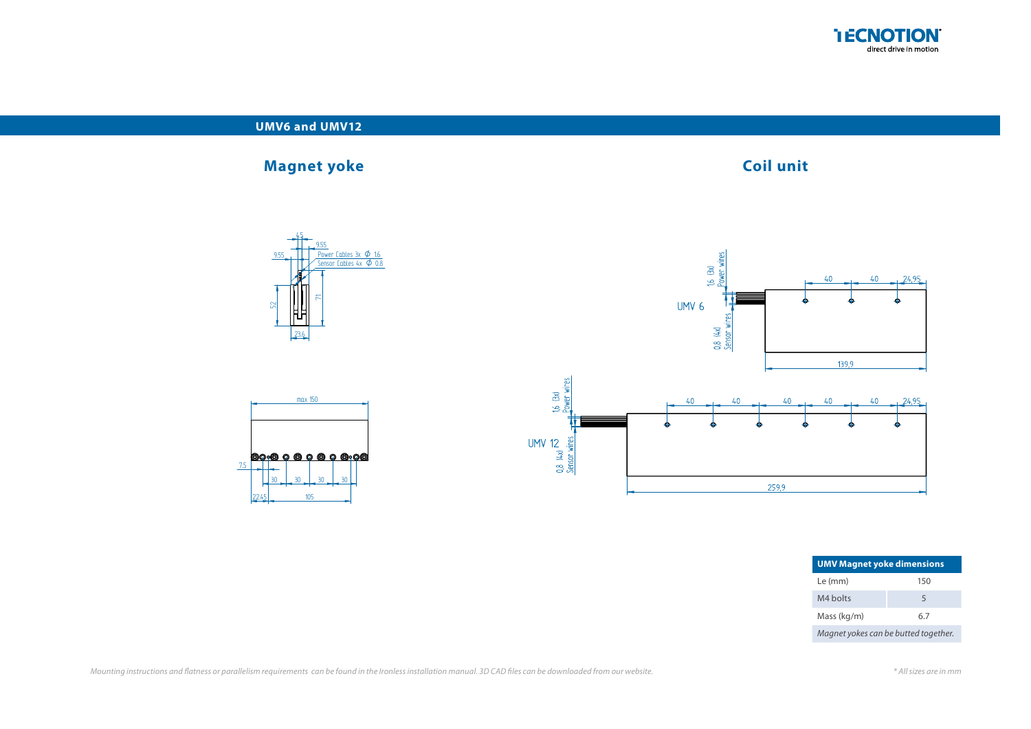

#### **UMV6 and UMV12**

## **Magnet yoke Coil unit**

## $\frac{9.55}{\text{Sens}}$  Power Cables 3x  $\phi$  1.6 9.55<br>Power Cables 3x **Ø** 1.6<br>Sensor Cables 4x **Ø** 0.8 9.55 4.5 23.6  $\tilde{f}$





13

56 56 56 56 15

| <b>UMV Magnet yoke dimensions</b>    |     |  |  |  |  |  |
|--------------------------------------|-----|--|--|--|--|--|
| Le (mm)                              | 150 |  |  |  |  |  |
| M4 holts                             | 5   |  |  |  |  |  |
| Mass (kg/m)                          | 6.7 |  |  |  |  |  |
| Magnet yokes can be butted together. |     |  |  |  |  |  |

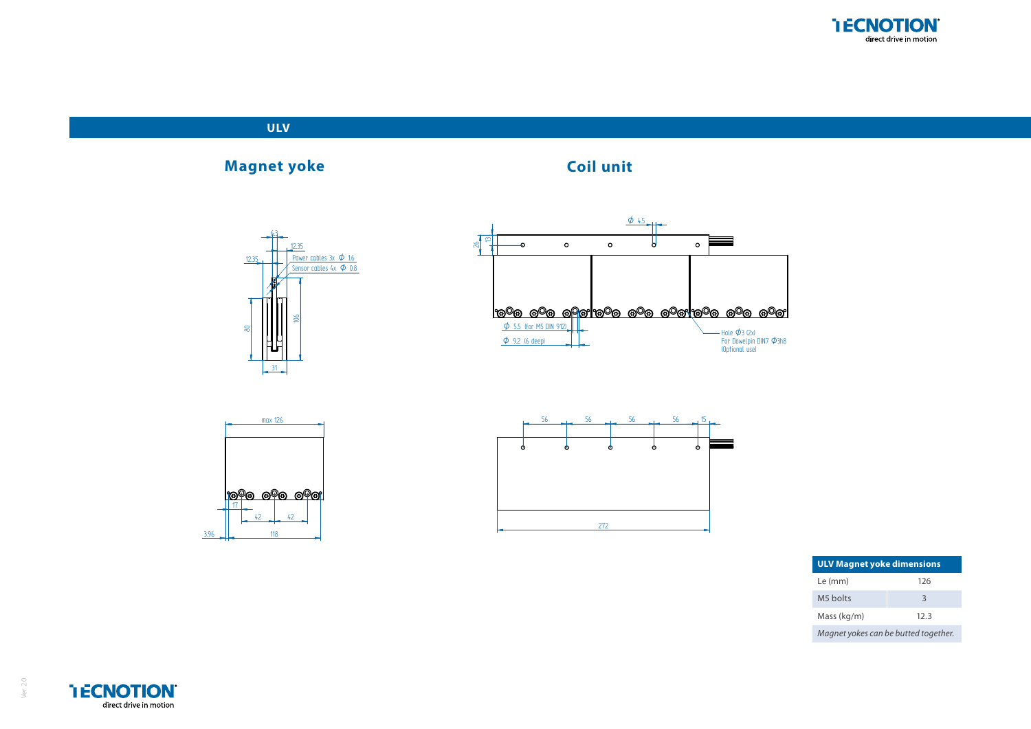



| <b>ULV Magnet yoke dimensions</b> |                                      |  |  |  |  |  |
|-----------------------------------|--------------------------------------|--|--|--|--|--|
| Le (mm)                           | 126                                  |  |  |  |  |  |
| M5 holts                          | $\mathbf{R}$                         |  |  |  |  |  |
| Mass (kg/m)                       | 12.3                                 |  |  |  |  |  |
|                                   | Magnet yokes can be butted together. |  |  |  |  |  |



Ver. 2.0